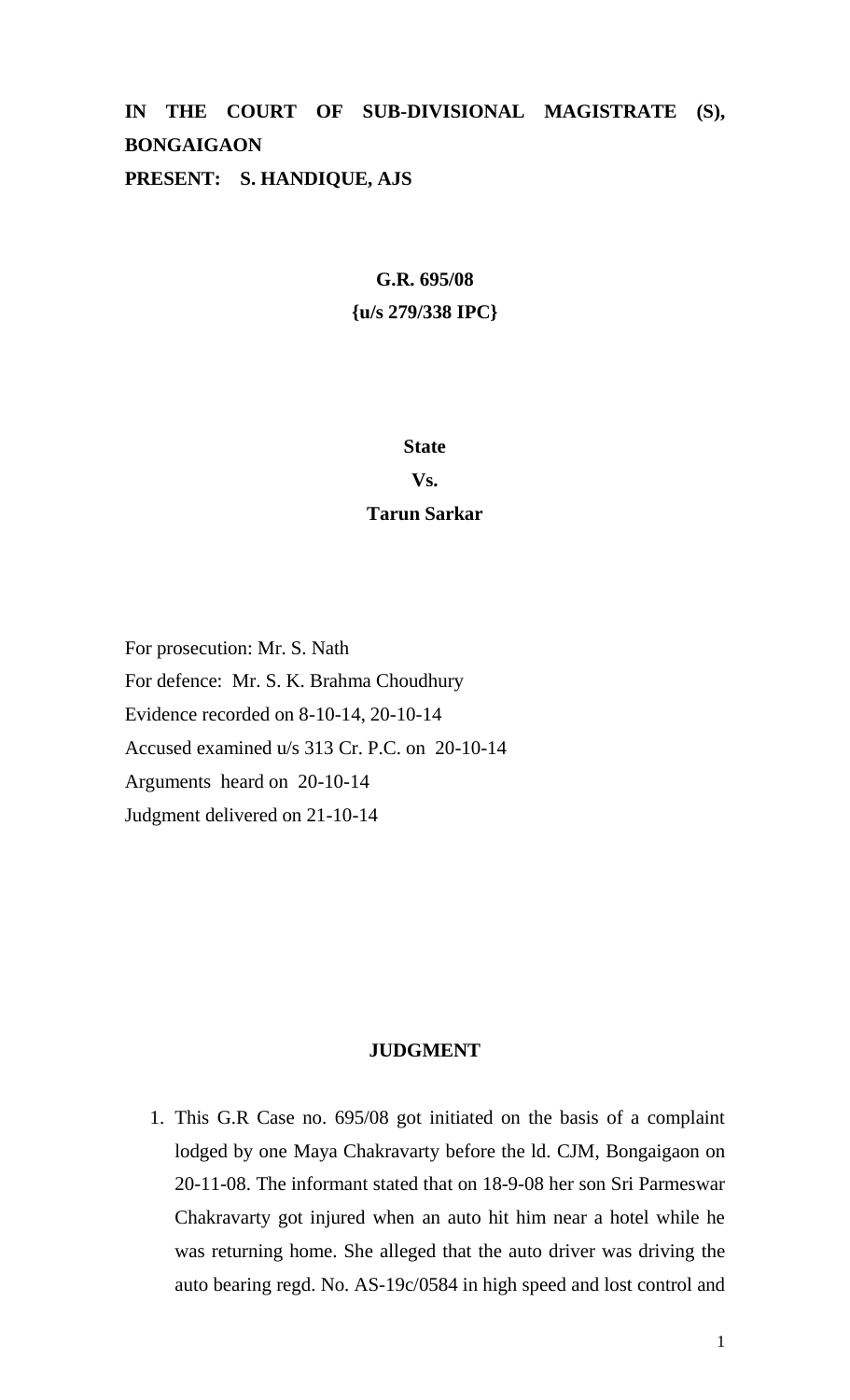# **IN THE COURT OF SUB-DIVISIONAL MAGISTRATE (S), BONGAIGAON PRESENT: S. HANDIQUE, AJS**

## **G.R. 695/08**

#### **{u/s 279/338 IPC}**

#### **State**

## **Vs.**

## **Tarun Sarkar**

For prosecution: Mr. S. Nath For defence: Mr. S. K. Brahma Choudhury Evidence recorded on 8-10-14, 20-10-14 Accused examined u/s 313 Cr. P.C. on 20-10-14 Arguments heard on 20-10-14 Judgment delivered on 21-10-14

#### **JUDGMENT**

1. This G.R Case no. 695/08 got initiated on the basis of a complaint lodged by one Maya Chakravarty before the ld. CJM, Bongaigaon on 20-11-08. The informant stated that on 18-9-08 her son Sri Parmeswar Chakravarty got injured when an auto hit him near a hotel while he was returning home. She alleged that the auto driver was driving the auto bearing regd. No. AS-19c/0584 in high speed and lost control and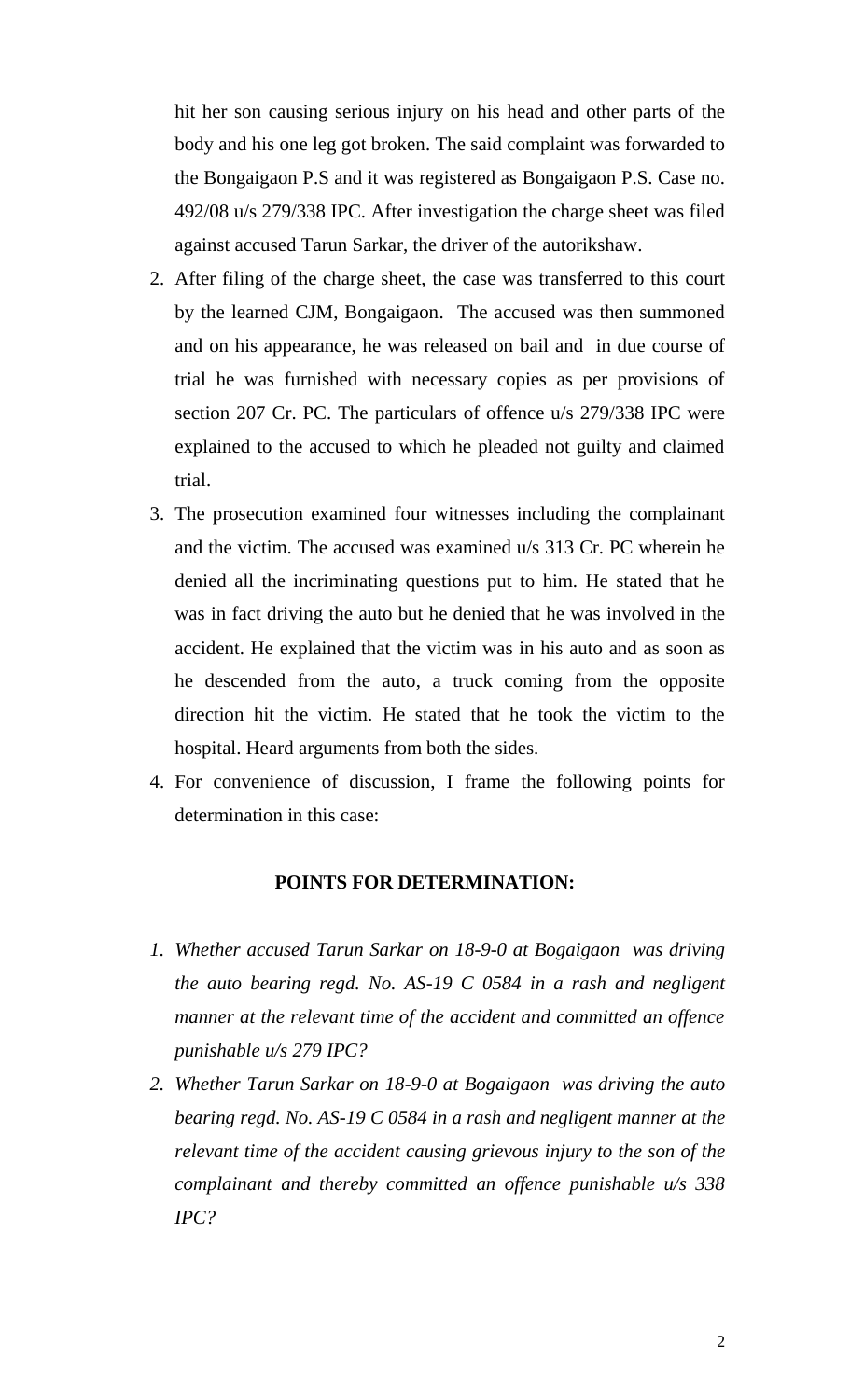hit her son causing serious injury on his head and other parts of the body and his one leg got broken. The said complaint was forwarded to the Bongaigaon P.S and it was registered as Bongaigaon P.S. Case no. 492/08 u/s 279/338 IPC. After investigation the charge sheet was filed against accused Tarun Sarkar, the driver of the autorikshaw.

- 2. After filing of the charge sheet, the case was transferred to this court by the learned CJM, Bongaigaon. The accused was then summoned and on his appearance, he was released on bail and in due course of trial he was furnished with necessary copies as per provisions of section 207 Cr. PC. The particulars of offence u/s 279/338 IPC were explained to the accused to which he pleaded not guilty and claimed trial.
- 3. The prosecution examined four witnesses including the complainant and the victim. The accused was examined u/s 313 Cr. PC wherein he denied all the incriminating questions put to him. He stated that he was in fact driving the auto but he denied that he was involved in the accident. He explained that the victim was in his auto and as soon as he descended from the auto, a truck coming from the opposite direction hit the victim. He stated that he took the victim to the hospital. Heard arguments from both the sides.
- 4. For convenience of discussion, I frame the following points for determination in this case:

## **POINTS FOR DETERMINATION:**

- *1. Whether accused Tarun Sarkar on 18-9-0 at Bogaigaon was driving the auto bearing regd. No. AS-19 C 0584 in a rash and negligent manner at the relevant time of the accident and committed an offence punishable u/s 279 IPC?*
- *2. Whether Tarun Sarkar on 18-9-0 at Bogaigaon was driving the auto bearing regd. No. AS-19 C 0584 in a rash and negligent manner at the relevant time of the accident causing grievous injury to the son of the complainant and thereby committed an offence punishable u/s 338 IPC?*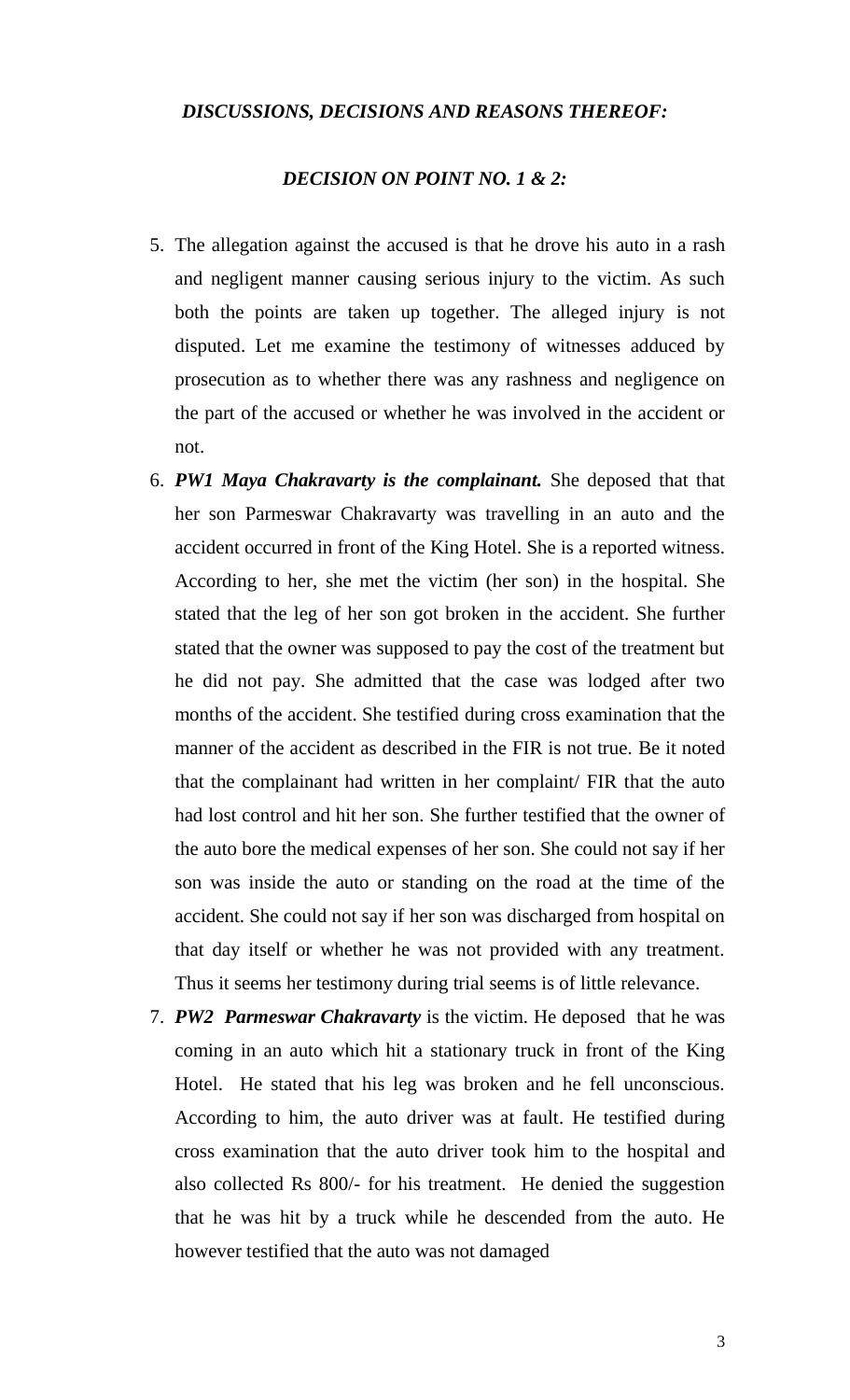## *DISCUSSIONS, DECISIONS AND REASONS THEREOF:*

## *DECISION ON POINT NO. 1 & 2:*

- 5. The allegation against the accused is that he drove his auto in a rash and negligent manner causing serious injury to the victim. As such both the points are taken up together. The alleged injury is not disputed. Let me examine the testimony of witnesses adduced by prosecution as to whether there was any rashness and negligence on the part of the accused or whether he was involved in the accident or not.
- 6. *PW1 Maya Chakravarty is the complainant.* She deposed that that her son Parmeswar Chakravarty was travelling in an auto and the accident occurred in front of the King Hotel. She is a reported witness. According to her, she met the victim (her son) in the hospital. She stated that the leg of her son got broken in the accident. She further stated that the owner was supposed to pay the cost of the treatment but he did not pay. She admitted that the case was lodged after two months of the accident. She testified during cross examination that the manner of the accident as described in the FIR is not true. Be it noted that the complainant had written in her complaint/ FIR that the auto had lost control and hit her son. She further testified that the owner of the auto bore the medical expenses of her son. She could not say if her son was inside the auto or standing on the road at the time of the accident. She could not say if her son was discharged from hospital on that day itself or whether he was not provided with any treatment. Thus it seems her testimony during trial seems is of little relevance.
- 7. *PW2 Parmeswar Chakravarty* is the victim. He deposed that he was coming in an auto which hit a stationary truck in front of the King Hotel. He stated that his leg was broken and he fell unconscious. According to him, the auto driver was at fault. He testified during cross examination that the auto driver took him to the hospital and also collected Rs 800/- for his treatment. He denied the suggestion that he was hit by a truck while he descended from the auto. He however testified that the auto was not damaged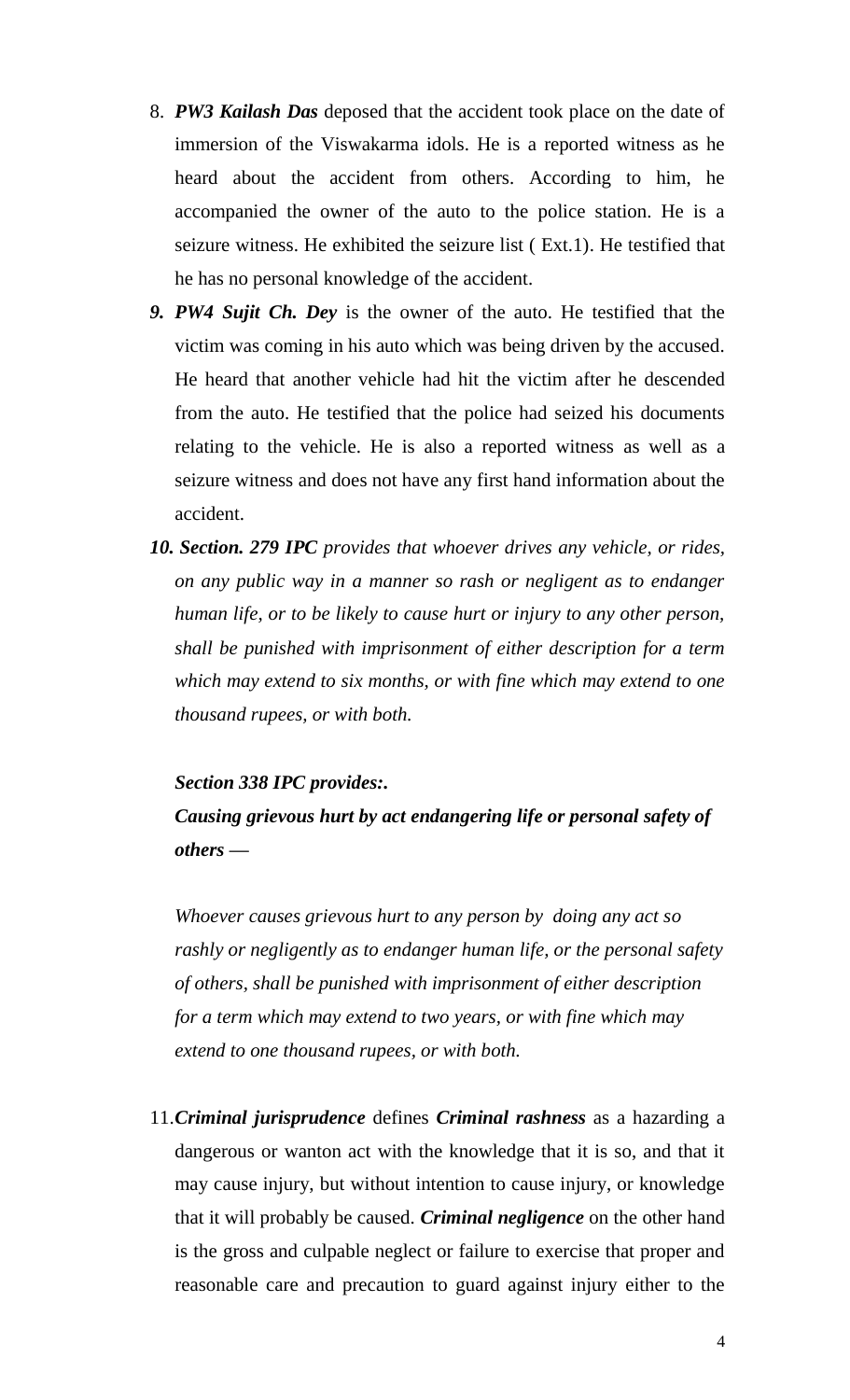- 8. *PW3 Kailash Das* deposed that the accident took place on the date of immersion of the Viswakarma idols. He is a reported witness as he heard about the accident from others. According to him, he accompanied the owner of the auto to the police station. He is a seizure witness. He exhibited the seizure list ( Ext.1). He testified that he has no personal knowledge of the accident.
- *9. PW4 Sujit Ch. Dey* is the owner of the auto. He testified that the victim was coming in his auto which was being driven by the accused. He heard that another vehicle had hit the victim after he descended from the auto. He testified that the police had seized his documents relating to the vehicle. He is also a reported witness as well as a seizure witness and does not have any first hand information about the accident.
- *10. Section. 279 IPC provides that whoever drives any vehicle, or rides, on any public way in a manner so rash or negligent as to endanger human life, or to be likely to cause hurt or injury to any other person, shall be punished with imprisonment of either description for a term which may extend to six months, or with fine which may extend to one thousand rupees, or with both.*

## *Section 338 IPC provides:.*

*Causing grievous hurt by act endangering life or personal safety of others —*

*Whoever causes grievous hurt to any person by doing any act so rashly or negligently as to endanger human life, or the personal safety of others, shall be punished with imprisonment of either description for a term which may extend to two years, or with fine which may extend to one thousand rupees, or with both.*

11.*Criminal jurisprudence* defines *Criminal rashness* as a hazarding a dangerous or wanton act with the knowledge that it is so, and that it may cause injury, but without intention to cause injury, or knowledge that it will probably be caused. *Criminal negligence* on the other hand is the gross and culpable neglect or failure to exercise that proper and reasonable care and precaution to guard against injury either to the